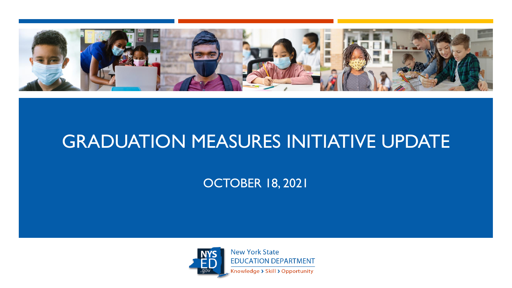

## GRADUATION MEASURES INITIATIVE UPDATE

OCTOBER 18, 2021